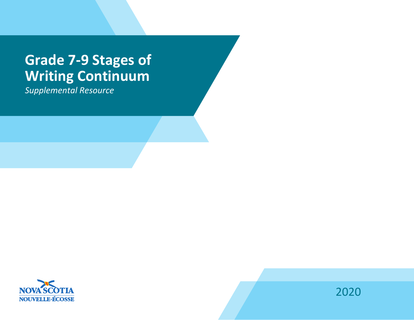# **Grade 7-9 Stages of Writing Continuum**

*Supplemental Resource*



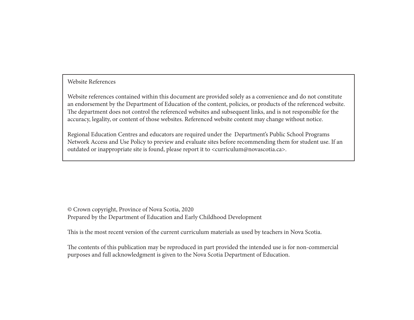### Website References

Website references contained within this document are provided solely as a convenience and do not constitute an endorsement by the Department of Education of the content, policies, or products of the referenced website. The department does not control the referenced websites and subsequent links, and is not responsible for the accuracy, legality, or content of those websites. Referenced website content may change without notice.

Regional Education Centres and educators are required under the Department's Public School Programs Network Access and Use Policy to preview and evaluate sites before recommending them for student use. If an outdated or inappropriate site is found, please report it to <curriculum@novascotia.ca>.

© Crown copyright, Province of Nova Scotia, 2020 Prepared by the Department of Education and Early Childhood Development

This is the most recent version of the current curriculum materials as used by teachers in Nova Scotia.

The contents of this publication may be reproduced in part provided the intended use is for non-commercial purposes and full acknowledgment is given to the Nova Scotia Department of Education.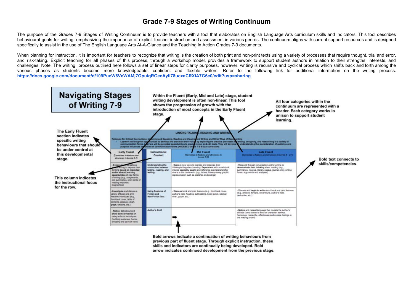## **Grade 7-9 Stages of Writing Continuum**

The purpose of the Grades 7-9 Stages of Writing Continuum is to provide teachers with a tool that elaborates on English Language Arts curriculum skills and indicators. This tool describes behavioural goals for writing, emphasizing the importance of explicit teacher instruction and assessment in various genres. The continuum aligns with current support resources and is designed specifically to assist in the use of The English Language Arts At-A-Glance and the Teaching in Action Grades 7-9 documents.

When planning for instruction, it is important for teachers to recognize that writing is the creation of both print and non-print texts using a variety of processes that require thought, trial and error, and risk-taking. Explicit teaching for all phases of this process, through a workshop model, provides a framework to support student authors in relation to their strengths, interests, and challenges. Note: The writing process outlined here follows a set of linear steps for clarity purposes, however, writing is recursive and cyclical process which shifts back and forth among the various phases as students become more knowledgeable, confident and flexible writers. Refer to the following link for additional information on the writing process. **<https://docs.google.com/document/d/109PucW6VeWAMj7OpuiqRGecAyIi78ucxaCRXiA7G6e0/edit?usp=sharing>**

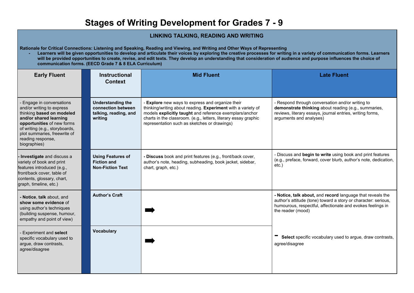# **Stages of Writing Development for Grades 7 - 9**

### **LINKING TALKING, READING AND WRITING**

**Rationale for Critical Connections: Listening and Speaking, Reading and Viewing, and Writing and Other Ways of Representing**

**- Learners will be given opportunities to develop and articulate their voices by exploring the creative processes for writing in a variety of communication forms. Learners will be provided opportunities to create, revise, and edit texts. They develop an understanding that consideration of audience and purpose influences the choice of communication forms. (EECD Grade 7 & 8 ELA Curriculum)**

| <b>Early Fluent</b>                                                                                                                                                                                                                              | <b>Instructional</b><br><b>Context</b>                                             | <b>Mid Fluent</b>                                                                                                                                                                                                                                                                                   | <b>Late Fluent</b>                                                                                                                                                                                              |
|--------------------------------------------------------------------------------------------------------------------------------------------------------------------------------------------------------------------------------------------------|------------------------------------------------------------------------------------|-----------------------------------------------------------------------------------------------------------------------------------------------------------------------------------------------------------------------------------------------------------------------------------------------------|-----------------------------------------------------------------------------------------------------------------------------------------------------------------------------------------------------------------|
| Engage in conversations<br>and/or writing to express<br>thinking based on modeled<br>and/or shared learning<br>opportunities of new forms<br>of writing (e.g., storyboards,<br>plot summaries, freewrite of<br>reading response,<br>biographies) | <b>Understanding the</b><br>connection between<br>talking, reading, and<br>writina | <b>Explore</b> new ways to express and organize their<br>thinking/writing about reading. Experiment with a variety of<br>models explicitly taught and reference exemplars/anchor<br>charts in the classroom. (e.g., letters, literary essay graphic<br>representation such as sketches or drawings) | - Respond through conversation and/or writing to<br>demonstrate thinking about reading (e.g., summaries,<br>reviews, literary essays, journal entries, writing forms,<br>arguments and analyses)                |
| - Investigate and discuss a<br>variety of book and print<br>features introduced (e.g.,<br>front/back cover, table of<br>contents, glossary, chart,<br>graph, timeline, etc.)                                                                     | <b>Using Features of</b><br><b>Fiction and</b><br><b>Non-Fiction Text</b>          | - Discuss book and print features (e.g., front/back cover,<br>author's note, heading, subheading, book jacket, sidebar,<br>chart, graph, etc.)                                                                                                                                                      | - Discuss and begin to write using book and print features<br>(e.g., preface, forward, cover blurb, author's note, dedication,<br>etc.                                                                          |
| - Notice, talk about, and<br>show some evidence of<br>using author's techniques<br>(building suspense, humour,<br>empathy and point of view)                                                                                                     | <b>Author's Craft</b>                                                              |                                                                                                                                                                                                                                                                                                     | - Notice, talk about, and record language that reveals the<br>author's attitude (tone) toward a story or character: serious,<br>humourous, respectful, affectionate and evokes feelings in<br>the reader (mood) |
| Experiment and select<br>specific vocabulary used to<br>argue, draw contrasts,<br>agree/disagree                                                                                                                                                 | <b>Vocabulary</b>                                                                  |                                                                                                                                                                                                                                                                                                     | Select specific vocabulary used to argue, draw contrasts,<br>agree/disagree                                                                                                                                     |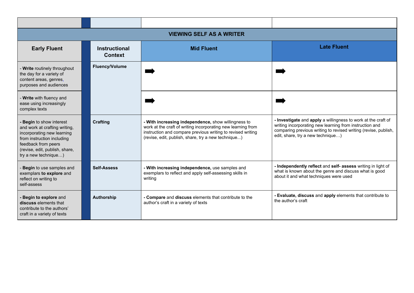| <b>VIEWING SELF AS A WRITER</b>                                                                                                                                                                      |                                        |                                                                                                                                                                                                                                           |                                                                                                                                                                                                                                  |  |
|------------------------------------------------------------------------------------------------------------------------------------------------------------------------------------------------------|----------------------------------------|-------------------------------------------------------------------------------------------------------------------------------------------------------------------------------------------------------------------------------------------|----------------------------------------------------------------------------------------------------------------------------------------------------------------------------------------------------------------------------------|--|
| <b>Early Fluent</b>                                                                                                                                                                                  | <b>Instructional</b><br><b>Context</b> | <b>Mid Fluent</b>                                                                                                                                                                                                                         | <b>Late Fluent</b>                                                                                                                                                                                                               |  |
| - Write routinely throughout<br>the day for a variety of<br>content areas, genres,<br>purposes and audiences                                                                                         | <b>Fluency/Volume</b>                  |                                                                                                                                                                                                                                           |                                                                                                                                                                                                                                  |  |
| - Write with fluency and<br>ease using increasingly<br>complex texts                                                                                                                                 |                                        |                                                                                                                                                                                                                                           |                                                                                                                                                                                                                                  |  |
| Begin to show interest<br>and work at crafting writing,<br>incorporating new learning<br>from instruction including<br>feedback from peers<br>(revise, edit, publish, share,<br>try a new technique) | <b>Crafting</b>                        | - With increasing independence, show willingness to<br>work at the craft of writing incorporating new learning from<br>instruction and compare previous writing to revised writing<br>(revise, edit, publish, share, try a new technique) | - Investigate and apply a willingness to work at the craft of<br>writing incorporating new learning from instruction and<br>comparing previous writing to revised writing (revise, publish,<br>edit, share, try a new technique) |  |
| Begin to use samples and<br>exemplars to explore and<br>reflect on writing to<br>self-assess                                                                                                         | <b>Self-Assess</b>                     | - With increasing independence, use samples and<br>exemplars to reflect and apply self-assessing skills in<br>writing                                                                                                                     | - Independently reflect and self- assess writing in light of<br>what is known about the genre and discuss what is good<br>about it and what techniques were used                                                                 |  |
| - Begin to explore and<br>discuss elements that<br>contribute to the authors'<br>craft in a variety of texts                                                                                         | Authorship                             | - Compare and discuss elements that contribute to the<br>author's craft in a variety of texts                                                                                                                                             | - Evaluate, discuss and apply elements that contribute to<br>the author's craft                                                                                                                                                  |  |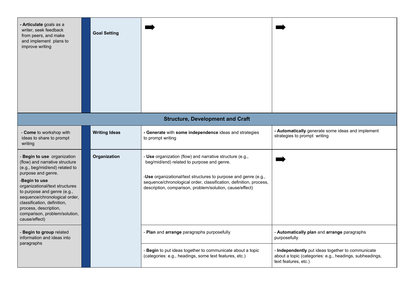| - Articulate goals as a<br>writer, seek feedback<br>from peers, and make<br>and implement plans to<br>improve writing                                                                                                                                                                                                                           | <b>Goal Setting</b>  |                                                                                                                                                                                                                                                                                                             |                                                                                                                                      |
|-------------------------------------------------------------------------------------------------------------------------------------------------------------------------------------------------------------------------------------------------------------------------------------------------------------------------------------------------|----------------------|-------------------------------------------------------------------------------------------------------------------------------------------------------------------------------------------------------------------------------------------------------------------------------------------------------------|--------------------------------------------------------------------------------------------------------------------------------------|
|                                                                                                                                                                                                                                                                                                                                                 |                      | <b>Structure, Development and Craft</b>                                                                                                                                                                                                                                                                     |                                                                                                                                      |
| - Come to workshop with<br>ideas to share to prompt<br>writing                                                                                                                                                                                                                                                                                  | <b>Writing Ideas</b> | - Generate with some independence ideas and strategies<br>to prompt writing                                                                                                                                                                                                                                 | - Automatically generate some ideas and implement<br>strategies to prompt writing                                                    |
| Begin to use organization<br>(flow) and narrative structure<br>(e.g., beg/mid/end) related to<br>purpose and genre.<br>Begin to use<br>organizational/text structures<br>to purpose and genre (e.g.,<br>sequence/chronological order,<br>classification, definition,<br>process, description,<br>comparison, problem/solution,<br>cause/effect) | Organization         | - Use organization (flow) and narrative structure (e.g.,<br>beg/mid/end) related to purpose and genre.<br>-Use organizational/text structures to purpose and genre (e.g.,<br>sequence/chronological order, classification, definition, process,<br>description, comparison, problem/solution, cause/effect) |                                                                                                                                      |
| Begin to group related<br>information and ideas into<br>paragraphs                                                                                                                                                                                                                                                                              |                      | - Plan and arrange paragraphs purposefully                                                                                                                                                                                                                                                                  | - Automatically plan and arrange paragraphs<br>purposefully                                                                          |
|                                                                                                                                                                                                                                                                                                                                                 |                      | Begin to put ideas together to communicate about a topic<br>(categories: e.g., headings, some text features, etc.)                                                                                                                                                                                          | - Independently put ideas together to communicate<br>about a topic (categories: e.g., headings, subheadings,<br>text features, etc.) |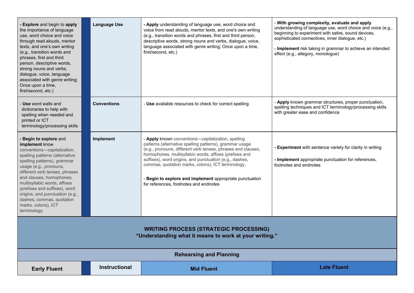| - Explore and begin to apply<br>the importance of language<br>use, word choice and voice<br>through read alouds, mentor<br>texts, and one's own writing<br>(e.g., transition words and<br>phrases, first and third<br>person, descriptive words,<br>strong nouns and verbs,<br>dialogue, voice, language<br>associated with genre writing;<br>Once upon a time,<br>first/second, etc.)                   | <b>Language Use</b>  | - Apply understanding of language use, word choice and<br>voice from read alouds, mentor texts, and one's own writing<br>(e.g., transition words and phrases, first and third person,<br>descriptive words, strong nouns and verbs, dialogue, voice,<br>language associated with genre writing; Once upon a time,<br>first/second, etc.)                                                                                                                     | - With growing complexity, evaluate and apply<br>understanding of language use, word choice and voice (e.g.,<br>beginning to experiment with satire, sound devices,<br>sophisticated connectives, inner dialogue, etc.)<br>- Implement risk taking in grammar to achieve an intended<br>effect (e.g., allegory, monologue) |
|----------------------------------------------------------------------------------------------------------------------------------------------------------------------------------------------------------------------------------------------------------------------------------------------------------------------------------------------------------------------------------------------------------|----------------------|--------------------------------------------------------------------------------------------------------------------------------------------------------------------------------------------------------------------------------------------------------------------------------------------------------------------------------------------------------------------------------------------------------------------------------------------------------------|----------------------------------------------------------------------------------------------------------------------------------------------------------------------------------------------------------------------------------------------------------------------------------------------------------------------------|
| - Use word walls and<br>dictionaries to help with<br>spelling when needed and<br>printed or ICT<br>terminology/processing skills                                                                                                                                                                                                                                                                         | <b>Conventions</b>   | - Use available resources to check for correct spelling                                                                                                                                                                                                                                                                                                                                                                                                      | - Apply known grammar structures, proper punctuation,<br>spelling techniques and ICT terminology/processing skills<br>with greater ease and confidence                                                                                                                                                                     |
| - Begin to explore and<br>implement know<br>conventions-capitalization,<br>spelling patterns (alternative<br>spelling patterns), grammar<br>usage (e.g., pronouns,<br>different verb tenses, phrases<br>and clauses, homophones,<br>multisyllabic words, affixes<br>(prefixes and suffixes), word<br>origins, and punctuation (e.g.,<br>dashes, commas, quotation<br>marks, colons), ICT<br>terminology. | Implement            | - Apply known conventions-capitalization, spelling<br>patterns (alternative spelling patterns), grammar usage<br>(e.g., pronouns, different verb tenses, phrases and clauses,<br>homophones, multisyllabic words, affixes (prefixes and<br>suffixes), word origins, and punctuation (e.g., dashes,<br>commas, quotation marks, colons), ICT terminology.<br>Begin to explore and implement appropriate punctuation<br>for references, footnotes and endnotes | - Experiment with sentence variety for clarity in writing<br>- Implement appropriate punctuation for references,<br>footnotes and endnotes                                                                                                                                                                                 |
| <b>WRITING PROCESS (STRATEGIC PROCESSING)</b><br>"Understanding what it means to work at your writing."                                                                                                                                                                                                                                                                                                  |                      |                                                                                                                                                                                                                                                                                                                                                                                                                                                              |                                                                                                                                                                                                                                                                                                                            |
| <b>Rehearsing and Planning</b>                                                                                                                                                                                                                                                                                                                                                                           |                      |                                                                                                                                                                                                                                                                                                                                                                                                                                                              |                                                                                                                                                                                                                                                                                                                            |
| <b>Early Fluent</b>                                                                                                                                                                                                                                                                                                                                                                                      | <b>Instructional</b> | <b>Mid Fluent</b>                                                                                                                                                                                                                                                                                                                                                                                                                                            | <b>Late Fluent</b>                                                                                                                                                                                                                                                                                                         |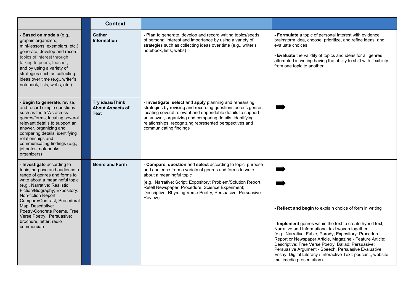|                                                                                                                                                                                                                                                                                                                                                                                  | <b>Context</b>                                            |                                                                                                                                                                                                                                                                                                                                                  |                                                                                                                                                                                                                                                                                                                                                                                                                                                                                                             |
|----------------------------------------------------------------------------------------------------------------------------------------------------------------------------------------------------------------------------------------------------------------------------------------------------------------------------------------------------------------------------------|-----------------------------------------------------------|--------------------------------------------------------------------------------------------------------------------------------------------------------------------------------------------------------------------------------------------------------------------------------------------------------------------------------------------------|-------------------------------------------------------------------------------------------------------------------------------------------------------------------------------------------------------------------------------------------------------------------------------------------------------------------------------------------------------------------------------------------------------------------------------------------------------------------------------------------------------------|
| - Based on models (e.g.,<br>graphic organizers,<br>mini-lessons, exemplars, etc.)<br>generate, develop and record<br>topics of interest through<br>talking to peers, teacher,<br>and by using a variety of<br>strategies such as collecting<br>ideas over time (e.g., writer's<br>notebook, lists, webs, etc.)                                                                   | <b>Gather</b><br><b>Information</b>                       | - Plan to generate, develop and record writing topics/seeds<br>of personal interest and importance by using a variety of<br>strategies such as collecting ideas over time (e.g., writer's<br>notebook, lists, webs)                                                                                                                              | - Formulate a topic of personal interest with evidence,<br>brainstorm idea, choose, prioritize, and refine ideas, and<br>evaluate choices<br>- Evaluate the validity of topics and ideas for all genres<br>attempted in writing having the ability to shift with flexibility<br>from one topic to another                                                                                                                                                                                                   |
| - Begin to generate, revise,<br>and record simple questions<br>such as the 5 Ws across<br>genres/forms, locating several<br>relevant details to support an<br>answer, organizing and<br>comparing details, identifying<br>relationships and<br>communicating findings (e.g.,<br>jot notes, notebooks,<br>organizers)                                                             | Try ideas/Think<br><b>About Aspects of</b><br><b>Text</b> | - Investigate, select and apply planning and rehearsing<br>strategies by revising and recording questions across genres,<br>locating several relevant and dependable details to support<br>an answer, organizing and comparing details, identifying<br>relationships, recognizing represented perspectives and<br>communicating findings         |                                                                                                                                                                                                                                                                                                                                                                                                                                                                                                             |
| - Investigate according to<br>topic, purpose and audience a<br>range of genres and forms to<br>write about a meaningful topic<br>(e.g., Narrative: Realistic<br>Fiction/Biography; Expository:<br>Non-fiction Report,<br>Compare/Contrast, Procedural<br>Map; Descriptive:<br>Poetry-Concrete Poems, Free<br>Verse Poetry; Persuasive:<br>brochure, letter, radio<br>commercial) | <b>Genre and Form</b>                                     | - Compare, question and select according to topic, purpose<br>and audience from a variety of genres and forms to write<br>about a meaningful topic<br>(e.g., Narrative: Script; Expository: Problem/Solution Report,<br>Retell Newspaper, Procedure, Science Experiment;<br>Descriptive: Rhyming Verse Poetry; Persuasive: Persuasive<br>Review) | - Reflect and begin to explain choice of form in writing<br>- Implement genres within the text to create hybrid text;<br>Narrative and Informational text woven together<br>(e.g., Narrative: Fable, Parody; Expository: Procedural<br>Report or Newspaper Article, Magazine - Feature Article;<br>Descriptive: Free Verse Poetry, Ballad; Persuasive:<br>Persuasive Argument - Speech, Persuasive Evaluative<br>Essay; Digital Literacy / Interactive Text: podcast,, website,<br>multimedia presentation) |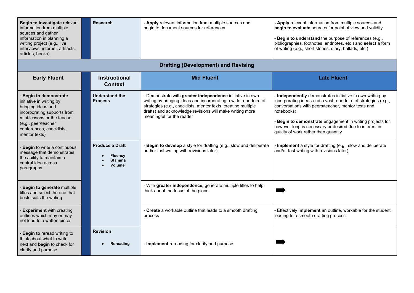| Begin to investigate relevant<br>information from multiple<br>sources and gather<br>information in planning a<br>writing project (e.g., live<br>interviews, internet, artifacts,<br>articles, books)       | <b>Research</b>                                                      | - Apply relevant information from multiple sources and<br>begin to document sources for references                                                                                                                                                                                      | - Apply relevant information from multiple sources and<br>begin to evaluate sources for point of view and validity<br>- Begin to understand the purpose of references (e.g.,<br>bibliographies, footnotes, endnotes, etc.) and select a form<br>of writing (e.g., short stories, diary, ballads, etc.)                                                        |
|------------------------------------------------------------------------------------------------------------------------------------------------------------------------------------------------------------|----------------------------------------------------------------------|-----------------------------------------------------------------------------------------------------------------------------------------------------------------------------------------------------------------------------------------------------------------------------------------|---------------------------------------------------------------------------------------------------------------------------------------------------------------------------------------------------------------------------------------------------------------------------------------------------------------------------------------------------------------|
|                                                                                                                                                                                                            |                                                                      | <b>Drafting (Development) and Revising</b>                                                                                                                                                                                                                                              |                                                                                                                                                                                                                                                                                                                                                               |
| <b>Early Fluent</b>                                                                                                                                                                                        | <b>Instructional</b><br><b>Context</b>                               | <b>Mid Fluent</b>                                                                                                                                                                                                                                                                       | <b>Late Fluent</b>                                                                                                                                                                                                                                                                                                                                            |
| - Begin to demonstrate<br>initiative in writing by<br>bringing ideas and<br>incorporating supports from<br>mini-lessons or the teacher<br>(e.g., peer/teacher<br>conferences, checklists,<br>mentor texts) | <b>Understand the</b><br><b>Process</b>                              | - Demonstrate with greater independence initiative in own<br>writing by bringing ideas and incorporating a wide repertoire of<br>strategies (e.g., checklists, mentor texts, creating multiple<br>drafts) and acknowledge revisions will make writing more<br>meaningful for the reader | - Independently demonstrates initiative in own writing by<br>incorporating ideas and a vast repertoire of strategies (e.g.,<br>conversations with peers/teacher, mentor texts and<br>notebooks)<br>Begin to demonstrate engagement in writing projects for<br>however long is necessary or desired due to interest in<br>quality of work rather than quantity |
| Begin to write a continuous<br>message that demonstrates<br>the ability to maintain a<br>central idea across<br>paragraphs                                                                                 | <b>Produce a Draft</b><br><b>Fluency</b><br><b>Stamina</b><br>Volume | - Begin to develop a style for drafting (e.g., slow and deliberate<br>and/or fast writing with revisions later)                                                                                                                                                                         | - Implement a style for drafting (e.g., slow and deliberate<br>and/or fast writing with revisions later)                                                                                                                                                                                                                                                      |
| Begin to generate multiple<br>titles and select the one that<br>bests suits the writing                                                                                                                    |                                                                      | - With greater independence, generate multiple titles to help<br>think about the focus of the piece                                                                                                                                                                                     |                                                                                                                                                                                                                                                                                                                                                               |
| - Experiment with creating<br>outlines which may or may<br>not lead to a written piece                                                                                                                     |                                                                      | Create a workable outline that leads to a smooth drafting<br>process                                                                                                                                                                                                                    | Effectively implement an outline, workable for the student,<br>leading to a smooth drafting process                                                                                                                                                                                                                                                           |
| - Begin to reread writing to<br>think about what to write<br>next and begin to check for<br>clarity and purpose                                                                                            | <b>Revision</b><br>Rereading                                         | - Implement rereading for clarity and purpose                                                                                                                                                                                                                                           |                                                                                                                                                                                                                                                                                                                                                               |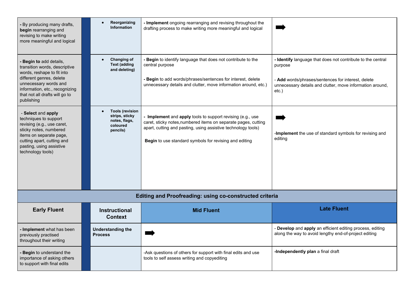| - By producing many drafts,<br>begin rearranging and<br>revising to make writing<br>more meaningful and logical                                                                                                               | Reorganizing<br><b>Information</b>                                                | - Implement ongoing rearranging and revising throughout the<br>drafting process to make writing more meaningful and logical                                                                                                                             |                                                                                                                                                                                                       |
|-------------------------------------------------------------------------------------------------------------------------------------------------------------------------------------------------------------------------------|-----------------------------------------------------------------------------------|---------------------------------------------------------------------------------------------------------------------------------------------------------------------------------------------------------------------------------------------------------|-------------------------------------------------------------------------------------------------------------------------------------------------------------------------------------------------------|
| - Begin to add details,<br>transition words, descriptive<br>words, reshape to fit into<br>different genres, delete<br>unnecessary words and<br>information, etc., recognizing<br>that not all drafts will go to<br>publishing | Changing of<br><b>Text (adding</b><br>and deleting)                               | - Begin to identify language that does not contribute to the<br>central purpose<br>- Begin to add words/phrases/sentences for interest, delete<br>unnecessary details and clutter, move information around, etc.)                                       | - Identify language that does not contribute to the central<br>purpose<br>- Add words/phrases/sentences for interest, delete<br>unnecessary details and clutter, move information around,<br>$etc.$ ) |
| - Select and apply<br>techniques to support<br>revising (e.g., use caret,<br>sticky notes, numbered<br>items on separate page,<br>cutting apart, cutting and<br>pasting, using assistive<br>technology tools)                 | <b>Tools (revision</b><br>strips, sticky<br>notes, flags,<br>coloured<br>pencils) | - Implement and apply tools to support revising (e.g., use<br>caret, sticky notes, numbered items on separate pages, cutting<br>apart, cutting and pasting, using assistive technology tools)<br>Begin to use standard symbols for revising and editing | -Implement the use of standard symbols for revising and<br>editing                                                                                                                                    |
|                                                                                                                                                                                                                               |                                                                                   | <b>Editing and Proofreading: using co-constructed criteria</b>                                                                                                                                                                                          |                                                                                                                                                                                                       |
| <b>Early Fluent</b>                                                                                                                                                                                                           | Instructional<br><b>Context</b>                                                   | <b>Mid Fluent</b>                                                                                                                                                                                                                                       | <b>Late Fluent</b>                                                                                                                                                                                    |
| - Implement what has been<br>previously practised<br>throughout their writing                                                                                                                                                 | <b>Understanding the</b><br><b>Process</b>                                        |                                                                                                                                                                                                                                                         | - Develop and apply an efficient editing process, editing<br>along the way to avoid lengthy end-of-project editing                                                                                    |
| - Begin to understand the<br>importance of asking others<br>to support with final edits                                                                                                                                       |                                                                                   | -Ask questions of others for support with final edits and use<br>tools to self assess writing and copyediting                                                                                                                                           | -Independently plan a final draft                                                                                                                                                                     |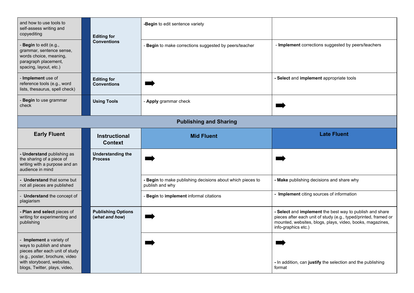| and how to use tools to<br>self-assess writing and<br>copyediting                                                                                                                         | <b>Editing for</b><br><b>Conventions</b>    | -Begin to edit sentence variety                                             |                                                                                                                                                                                                                 |
|-------------------------------------------------------------------------------------------------------------------------------------------------------------------------------------------|---------------------------------------------|-----------------------------------------------------------------------------|-----------------------------------------------------------------------------------------------------------------------------------------------------------------------------------------------------------------|
| Begin to edit (e.g.,<br>grammar, sentence sense,<br>words choice, meaning,<br>paragraph placement,<br>spacing, layout, etc.)                                                              |                                             | - Begin to make corrections suggested by peers/teacher                      | - Implement corrections suggested by peers/teachers                                                                                                                                                             |
| - Implement use of<br>reference tools (e.g., word<br>lists, thesaurus, spell check)                                                                                                       | <b>Editing for</b><br><b>Conventions</b>    |                                                                             | - Select and implement appropriate tools                                                                                                                                                                        |
| Begin to use grammar<br>check                                                                                                                                                             | <b>Using Tools</b>                          | - Apply grammar check                                                       |                                                                                                                                                                                                                 |
|                                                                                                                                                                                           |                                             | <b>Publishing and Sharing</b>                                               |                                                                                                                                                                                                                 |
| <b>Early Fluent</b>                                                                                                                                                                       | <b>Instructional</b><br><b>Context</b>      | <b>Mid Fluent</b>                                                           | <b>Late Fluent</b>                                                                                                                                                                                              |
| - Understand publishing as<br>the sharing of a piece of<br>writing with a purpose and an<br>audience in mind                                                                              | <b>Understanding the</b><br><b>Process</b>  |                                                                             |                                                                                                                                                                                                                 |
| - Understand that some but<br>not all pieces are published                                                                                                                                |                                             | Begin to make publishing decisions about which pieces to<br>publish and why | - Make publishing decisions and share why                                                                                                                                                                       |
| - Understand the concept of<br>plagiarism                                                                                                                                                 |                                             | Begin to implement informal citations                                       | - Implement citing sources of information                                                                                                                                                                       |
| - Plan and select pieces of<br>writing for experimenting and<br>publishing                                                                                                                | <b>Publishing Options</b><br>(what and how) |                                                                             | - Select and implement the best way to publish and share<br>pieces after each unit of study (e.g., typed/printed, framed or<br>mounted, websites, blogs, plays, video, books, magazines,<br>info-graphics etc.) |
| - Implement a variety of<br>ways to publish and share<br>pieces after each unit of study<br>(e.g., poster, brochure, video<br>with storyboard, websites,<br>blogs, Twitter, plays, video, |                                             |                                                                             | - In addition, can justify the selection and the publishing<br>format                                                                                                                                           |